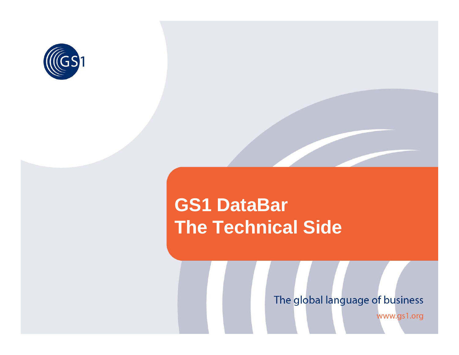

## **GS1 DataBar The Technical Side**

#### The global language of business

www.gs1.org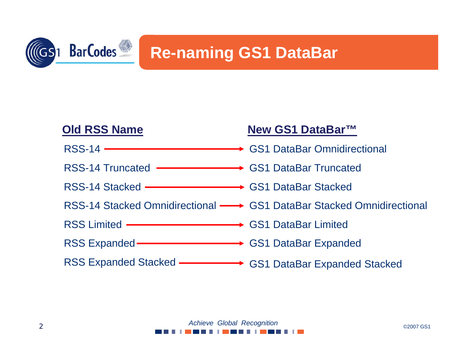

### **Re-naming GS1 DataBar**

| <b>Old RSS Name</b>                                          | New GS1 DataBar™                                                     |
|--------------------------------------------------------------|----------------------------------------------------------------------|
|                                                              |                                                                      |
| RSS-14 Truncated <b>- Example 2014</b> GS1 DataBar Truncated |                                                                      |
| RSS-14 Stacked ———————————> GS1 DataBar Stacked              |                                                                      |
|                                                              | RSS-14 Stacked Omnidirectional - GS1 DataBar Stacked Omnidirectional |
| RSS Limited ——————————————> GS1 DataBar Limited              |                                                                      |
| RSS Expanded - GS1 DataBar Expanded                          |                                                                      |
| RSS Expanded Stacked - GS1 DataBar Expanded Stacked          |                                                                      |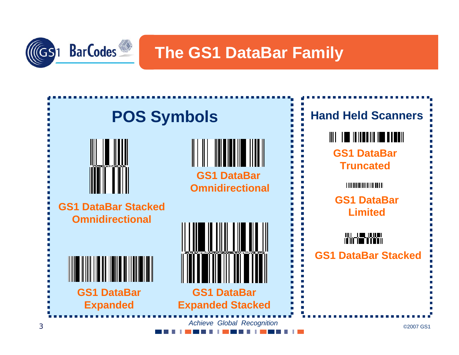

**The GS1 DataBar Family**

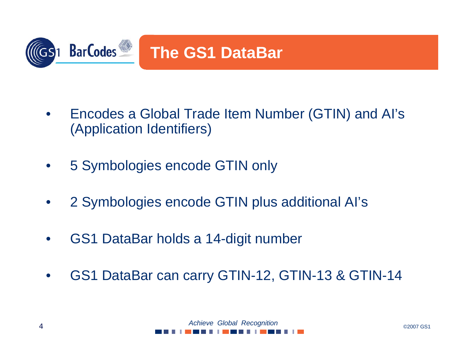

- • Encodes a Global Trade Item Number (GTIN) and AI's (Application Identifiers)
- •5 Symbologies encode GTIN only
- •2 Symbologies encode GTIN plus additional AI's
- •GS1 DataBar holds a 14-digit number
- •GS1 DataBar can carry GTIN-12, GTIN-13 & GTIN-14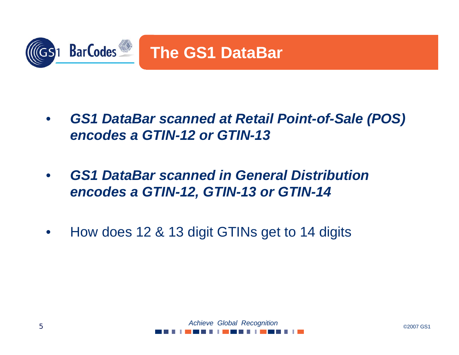

- • *GS1 DataBar scanned at Retail Point-of-Sale (POS) encodes a GTIN-12 or GTIN-13*
- • *GS1 DataBar scanned in General Distribution encodes a GTIN-12, GTIN-13 or GTIN-14*
- •How does 12 & 13 digit GTINs get to 14 digits

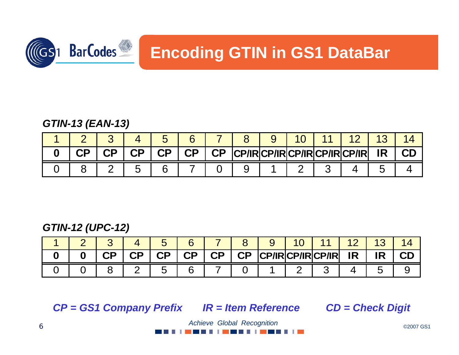

## **Encoding GTIN in GS1 DataBar**

#### *GTIN-13 (EAN-13)*

|  |  | ∽               |           |                 |     |  |                                |           |  |
|--|--|-----------------|-----------|-----------------|-----|--|--------------------------------|-----------|--|
|  |  | $\overline{CP}$ | <b>CP</b> | $\overline{CP}$ | /IK |  | <b>RCP/IRCP/IRCP/IRCP/IRL?</b> | <b>IR</b> |  |
|  |  |                 |           |                 | ັ   |  |                                |           |  |

#### *GTIN-12 (UPC-12)*

|  | CP. | C <sub>D</sub> | <b>CP</b> | $\mathsf{CP}$ | $\overline{CP}$ | $\mathsf{CP}$ | CP/IRCP/IRCP/IR |  | IR. | <b>IR</b> | CÐ |
|--|-----|----------------|-----------|---------------|-----------------|---------------|-----------------|--|-----|-----------|----|
|  |     |                |           |               |                 |               |                 |  |     |           |    |

*CP = GS1 Company Prefix IR = Item Reference CD = Check Digit*

. . . . . . . . . . . . . . .

©2007 GS1 *Achieve Global Recognition*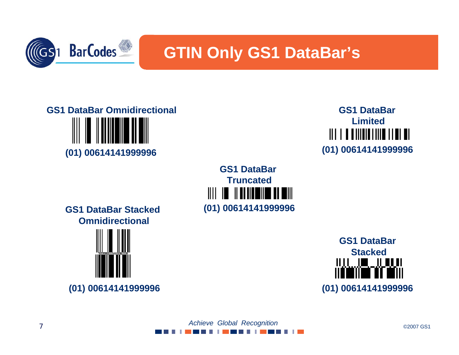

#### **GTIN Only GS1 DataBar's**

# **GS1 DataBar Omnidirectional (01) 00614141999996**



**GS1 DataBarTruncated**Ш Ш **(01) 00614141999996**

**GS1 DataBar Stacked Omnidirectional**





#### ©2007 GS1 *Achieve Global Recognition* . . . . . . . . . . . . . .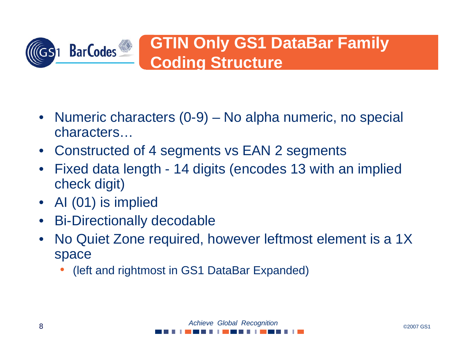

- Numeric characters (0-9) No alpha numeric, no special characters…
- $\bullet$ Constructed of 4 segments vs EAN 2 segments
- • Fixed data length - 14 digits (encodes 13 with an implied check digit)
- •AI (01) is implied
- $\bullet$ Bi-Directionally decodable
- $\bullet$  No Quiet Zone required, however leftmost element is a 1X space
	- •(left and rightmost in GS1 DataBar Expanded)

 ©2007 GS1 *Achieve Global Recognition* . . . . . . . .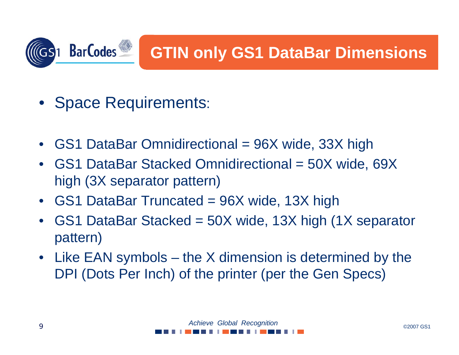

- Space Requirements:
- •GS1 DataBar Omnidirectional = 96X wide, 33X high
- • GS1 DataBar Stacked Omnidirectional = 50X wide, 69X high (3X separator pattern)
- •GS1 DataBar Truncated = 96X wide, 13X high
- • GS1 DataBar Stacked = 50X wide, 13X high (1X separator pattern)
- Like EAN symbols the X dimension is determined by the DPI (Dots Per Inch) of the printer (per the Gen Specs)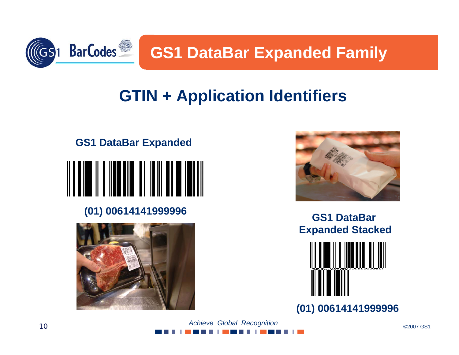

**GS1 DataBar Expanded Family**

## **GTIN + Application Identifiers**



#### **(01) 00614141999996 GS1 DataBar**





**Expanded Stacked**



**(01) 00614141999996**

 ©2007 GS1 *Achieve Global Recognition* . . . . . . . . . . .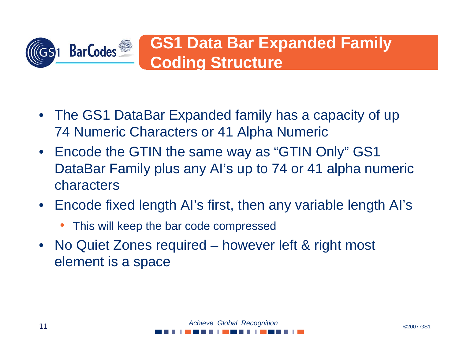

- The GS1 DataBar Expanded family has a capacity of up 74 Numeric Characters or 41 Alpha Numeric
- Encode the GTIN the same way as "GTIN Only" GS1 DataBar Family plus any AI's up to 74 or 41 alpha numeric characters
- Encode fixed length AI's first, then any variable length AI's
	- This will keep the bar code compressed
- No Quiet Zones required however left & right most element is a space

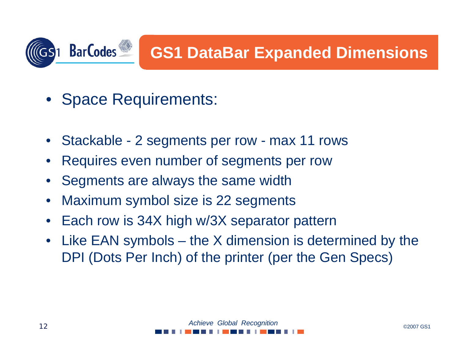

- •Space Requirements:
- •Stackable - 2 segments per row - max 11 rows
- •Requires even number of segments per row
- •Segments are always the same width
- •Maximum symbol size is 22 segments
- $\bullet$ Each row is 34X high w/3X separator pattern
- • Like EAN symbols – the X dimension is determined by the DPI (Dots Per Inch) of the printer (per the Gen Specs)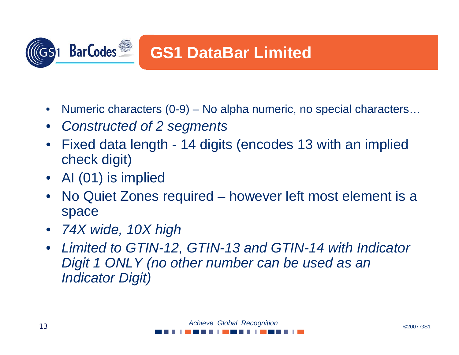

- $\bullet$ Numeric characters (0-9) – No alpha numeric, no special characters…
- •*Constructed of 2 segments*
- • Fixed data length - 14 digits (encodes 13 with an implied check digit)
- AI (01) is implied
- • No Quiet Zones required – however left most element is a space
- *74X wide, 10X high*
- $\bullet$  *Limited to GTIN-12, GTIN-13 and GTIN-14 with Indicator Digit 1 ONLY (no other number can be used as an Indicator Digit)*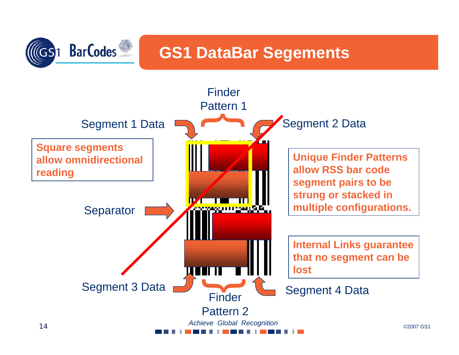

#### **GS1 DataBar Segements**